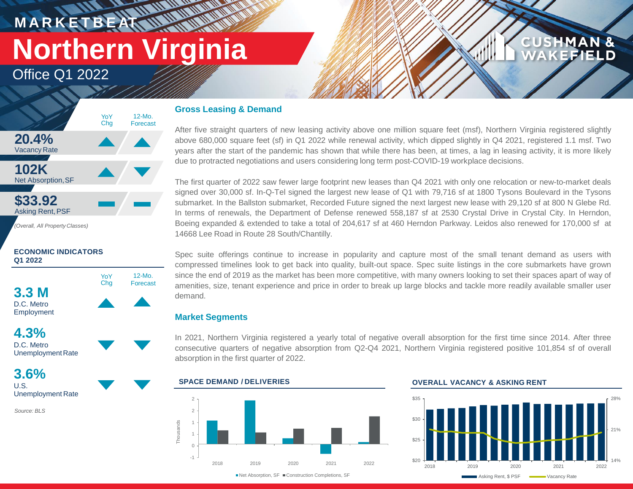# **M A R K E T B E AT Northern Virginia**

12-Mo.

Office Q1 2022



## **ECONOMIC INDICATORS Q1 2022**





**3.6%** U.S. Unemployment Rate

*Source: BLS*

# **Gross Leasing & Demand**

**HAMMAR** 

After five straight quarters of new leasing activity above one million square feet (msf), Northern Virginia registered slightly above 680,000 square feet (sf) in Q1 2022 while renewal activity, which dipped slightly in Q4 2021, registered 1.1 msf. Two years after the start of the pandemic has shown that while there has been, at times, a lag in leasing activity, it is more likely due to protracted negotiations and users considering long term post-COVID-19 workplace decisions.

The first quarter of 2022 saw fewer large footprint new leases than Q4 2021 with only one relocation or new-to-market deals signed over 30,000 sf. In-Q-Tel signed the largest new lease of Q1 with 79,716 sf at 1800 Tysons Boulevard in the Tysons submarket. In the Ballston submarket, Recorded Future signed the next largest new lease with 29,120 sf at 800 N Glebe Rd. In terms of renewals, the Department of Defense renewed 558,187 sf at 2530 Crystal Drive in Crystal City. In Herndon, Boeing expanded & extended to take a total of 204,617 sf at 460 Herndon Parkway. Leidos also renewed for 170,000 sf at 14668 Lee Road in Route 28 South/Chantilly.

Spec suite offerings continue to increase in popularity and capture most of the small tenant demand as users with compressed timelines look to get back into quality, built-out space. Spec suite listings in the core submarkets have grown since the end of 2019 as the market has been more competitive, with many owners looking to set their spaces apart of way of amenities, size, tenant experience and price in order to break up large blocks and tackle more readily available smaller user demand.

# **Market Segments**

In 2021, Northern Virginia registered a yearly total of negative overall absorption for the first time since 2014. After three consecutive quarters of negative absorption from Q2-Q4 2021, Northern Virginia registered positive 101,854 sf of overall absorption in the first quarter of 2022.



### **OVERALL VACANCY & ASKING RENT**



**CUSHMAN &** 

**KEFIELD**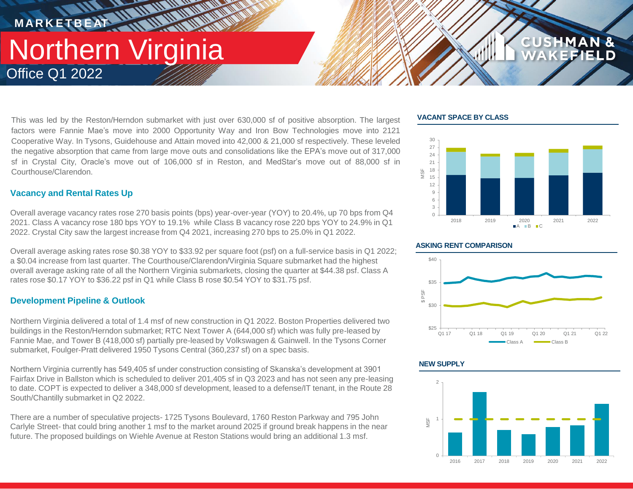# Office Q1 2022 Northern Virginia **MARKETBEAT 11 11 11 11 11 11**

This was led by the Reston/Herndon submarket with just over 630,000 sf of positive absorption. The largest factors were Fannie Mae's move into 2000 Opportunity Way and Iron Bow Technologies move into 2121 Cooperative Way. In Tysons, Guidehouse and Attain moved into 42,000 & 21,000 sf respectively. These leveled the negative absorption that came from large move outs and consolidations like the EPA's move out of 317,000 sf in Crystal City, Oracle's move out of 106,000 sf in Reston, and MedStar's move out of 88,000 sf in Courthouse/Clarendon.

*<u>NATIONAL</u>* 

# **Vacancy and Rental Rates Up**

Overall average vacancy rates rose 270 basis points (bps) year-over-year (YOY) to 20.4%, up 70 bps from Q4 2021. Class A vacancy rose 180 bps YOY to 19.1% while Class B vacancy rose 220 bps YOY to 24.9% in Q1 2022. Crystal City saw the largest increase from Q4 2021, increasing 270 bps to 25.0% in Q1 2022.

Overall average asking rates rose \$0.38 YOY to \$33.92 per square foot (psf) on a full-service basis in Q1 2022; a \$0.04 increase from last quarter. The Courthouse/Clarendon/Virginia Square submarket had the highest overall average asking rate of all the Northern Virginia submarkets, closing the quarter at \$44.38 psf. Class A rates rose \$0.17 YOY to \$36.22 psf in Q1 while Class B rose \$0.54 YOY to \$31.75 psf.

# **Development Pipeline & Outlook**

Northern Virginia delivered a total of 1.4 msf of new construction in Q1 2022. Boston Properties delivered two buildings in the Reston/Herndon submarket; RTC Next Tower A (644,000 sf) which was fully pre-leased by Fannie Mae, and Tower B (418,000 sf) partially pre-leased by Volkswagen & Gainwell. In the Tysons Corner submarket, Foulger-Pratt delivered 1950 Tysons Central (360,237 sf) on a spec basis.

Northern Virginia currently has 549,405 sf under construction consisting of Skanska's development at 3901 Fairfax Drive in Ballston which is scheduled to deliver 201,405 sf in Q3 2023 and has not seen any pre-leasing to date. COPT is expected to deliver a 348,000 sf development, leased to a defense/IT tenant, in the Route 28 South/Chantilly submarket in Q2 2022.

There are a number of speculative projects- 1725 Tysons Boulevard, 1760 Reston Parkway and 795 John Carlyle Street- that could bring another 1 msf to the market around 2025 if ground break happens in the near future. The proposed buildings on Wiehle Avenue at Reston Stations would bring an additional 1.3 msf.

## **VACANT SPACE BY CLASS**



**CUSHMAN &** 

### **ASKING RENT COMPARISON**



## **NEW SUPPLY**

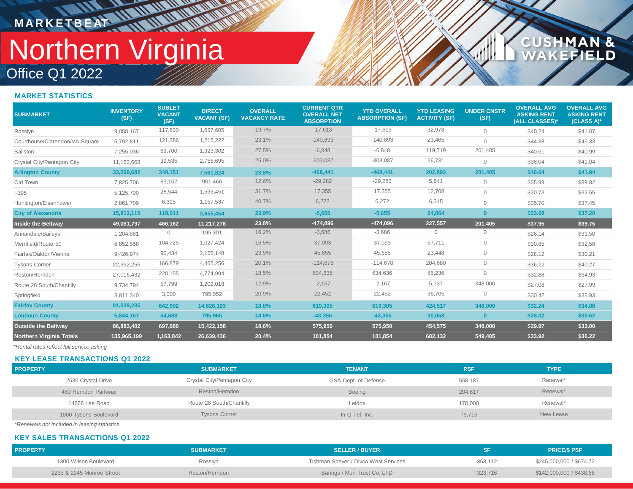# Office Q1 2022 Northern Virginia **MARKETBEAT IN IN IN IN IN IN IN IN**

# CUSHMAN &<br>WAKEFIELD

### **MARKET STATISTICS**

| <b>SUBMARKET</b>                | <b>INVENTORY</b><br>(SF) | <b>SUBLET</b><br><b>VACANT</b><br>(SF) | <b>DIRECT</b><br><b>VACANT (SF)</b> | <b>OVERALL</b><br><b>VACANCY RATE</b> | <b>CURRENT QTR</b><br><b>OVERALL NET</b><br><b>ABSORPTION</b> | <b>YTD OVERALL</b><br><b>ABSORPTION (SF)</b> | <b>YTD LEASING</b><br><b>ACTIVITY (SF)</b> | <b>UNDER CNSTR</b><br>(SF) | <b>OVERALL AVG</b><br><b>ASKING RENT</b><br>(ALL CLASSES)* | <b>OVERALL AVG</b><br><b>ASKING RENT</b><br>(CLASS A)* |
|---------------------------------|--------------------------|----------------------------------------|-------------------------------------|---------------------------------------|---------------------------------------------------------------|----------------------------------------------|--------------------------------------------|----------------------------|------------------------------------------------------------|--------------------------------------------------------|
| Rosslyn                         | 9,058,167                | 117,630                                | 1,667,605                           | 19.7%                                 | $-17,613$                                                     | $-17,613$                                    | 32,978                                     | $\Omega$                   | \$40.24                                                    | \$41.07                                                |
| Courthouse/Clarendon/VA Square  | 5,792,811                | 121,286                                | 1,215,222                           | 23.1%                                 | $-140,893$                                                    | $-140,893$                                   | 23,465                                     | $\Omega$                   | \$44.38                                                    | \$45.33                                                |
| <b>Ballston</b>                 | 7,255,036                | 69,700                                 | 1,923,302                           | 27.5%                                 | $-6,848$                                                      | $-6,848$                                     | 119,719                                    | 201,405                    | \$40.61                                                    | \$40.99                                                |
| Crystal City/Pentagon City      | 11,162,668               | 39,535                                 | 2,755,695                           | 25.0%                                 | $-303,087$                                                    | $-303,087$                                   | 26,731                                     | $\Omega$                   | \$38.04                                                    | \$41.04                                                |
| <b>Arlington County</b>         | 33,268,682               | 348,151                                | 7,561,824                           | 23.8%                                 | $-468, 441$                                                   | $-468,441$                                   | 202,893                                    | 201,405                    | \$40.64                                                    | \$41.94                                                |
| Old Town                        | 7,825,706                | 83,152                                 | 901,466                             | 12.6%                                 | $-29,282$                                                     | $-29,282$                                    | 5,641                                      | $\Omega$                   | \$35.99                                                    | \$39.82                                                |
| $1 - 395$                       | 5,125,700                | 28,544                                 | 1,596,451                           | 31.7%                                 | 17,355                                                        | 17,355                                       | 12,708                                     | $\Omega$                   | \$30.73                                                    | \$32.55                                                |
| Huntington/Eisenhower           | 2,861,709                | 6,315                                  | 1,157,537                           | 40.7%                                 | 6,272                                                         | 6,272                                        | 6,315                                      | $\Omega$                   | \$35.70                                                    | \$37.45                                                |
| <b>City of Alexandria</b>       | 15,813,115               | 118,011                                | 3,655,454                           | 23.9%                                 | $-5,655$                                                      | $-5,655$                                     | 24,664                                     | $\bf{0}$                   | \$33.68                                                    | \$37.20                                                |
| <b>Inside the Beltway</b>       | 49,081,797               | 466,162                                | 11,217,278                          | 23.8%                                 | $-474,096$                                                    | $-474,096$                                   | 227,557                                    | 201,405                    | \$37.95                                                    | \$39.75                                                |
| Annandale/Baileys               | 1,204,881                | 0                                      | 195,301                             | 16.2%                                 | $-3,686$                                                      | $-3,686$                                     | 0                                          | 0                          | \$26.14                                                    | \$31.50                                                |
| Merrifield/Route 50             | 6,852,558                | 104,725                                | 1,027,424                           | 16.5%                                 | 37,093                                                        | 37,093                                       | 67,711                                     | 0                          | \$30.85                                                    | \$32.58                                                |
| Fairfax/Oakton/Vienna           | 9,426,974                | 90,434                                 | 2,166,148                           | 23.9%                                 | 45,655                                                        | 45,655                                       | 23,448                                     | 0                          | \$28.12                                                    | \$30.21                                                |
| <b>Tysons Corner</b>            | 22,992,256               | 166,879                                | 4,465,256                           | 20.1%                                 | $-114,678$                                                    | $-114,678$                                   | 204,680                                    | 0                          | \$36.22                                                    | \$40.27                                                |
| Reston/Herndon                  | 27,016,432               | 220,155                                | 4,774,994                           | 18.5%                                 | 634,636                                                       | 634,636                                      | 86,236                                     | $\overline{0}$             | \$32.88                                                    | \$34.93                                                |
| Route 28 South/Chantilly        | 9,734,794                | 57,799                                 | 1,202,018                           | 12.9%                                 | $-2,167$                                                      | $-2,167$                                     | 5,737                                      | 348,000                    | \$27.08                                                    | \$27.99                                                |
| Springfield                     | 3,811,340                | 3,000                                  | 795,052                             | 20.9%                                 | 22,452                                                        | 22,452                                       | 36,705                                     | 0                          | \$30.42                                                    | \$35.93                                                |
| <b>Fairfax County</b>           | 81,039,235               | 642,992                                | 14,626,193                          | 18.8%                                 | 619,305                                                       | 619,305                                      | 424,517                                    | 348,000                    | \$32.24                                                    | \$34.86                                                |
| <b>Loudoun County</b>           | 5,844,167                | 54,688                                 | 795,965                             | 14.6%                                 | $-43,355$                                                     | $-43,355$                                    | 30,058                                     | $\bf{0}$                   | \$28.02                                                    | \$30.62                                                |
| <b>Outside the Beltway</b>      | 86,883,402               | 697,680                                | 15,422,158                          | 18.6%                                 | 575,950                                                       | 575,950                                      | 454,575                                    | 348,000                    | \$29.97                                                    | \$33.00                                                |
| <b>Northern Virginia Totals</b> | 135,965,199              | 1,163,842                              | 26,639,436                          | 20.4%                                 | 101,854                                                       | 101.854                                      | 682,132                                    | 549.405                    | \$33.92                                                    | \$36.22                                                |

*\*Rental rates reflect full service asking*

### **KEY LEASE TRANSACTIONS Q1 2022**

| <b>PROPERTY</b>       | <b>SUBMARKET</b>           | <b>TENANT</b>        | <b>RSF</b> | <b>TYPE</b> |
|-----------------------|----------------------------|----------------------|------------|-------------|
| 2530 Crystal Drive    | Crystal City/Pentagon City | GSA-Dept. of Defense | 558,187    | Renewal*    |
| 460 Herndon Parkway   | Reston/Herndon             | <b>Boeing</b>        | 204,617    | Renewal*    |
| 14668 Lee Road        | Route 28 South/Chantilly   | Leidos               | 170.000    | Renewal*    |
| 1800 Tysons Boulevard | <b>Tysons Corner</b>       | In-Q-Tel, Inc.       | 79,716     | New Lease   |

*\*Renewals not included in leasing statistics*

#### **KEY SALES TRANSACTIONS Q1 2022**

| <b>PROPERTY</b>           | <b>SUBMARKET</b> | <b>SELLER / BUYER</b>                |         | <b>PRICE/S PSF</b>       |
|---------------------------|------------------|--------------------------------------|---------|--------------------------|
| 1300 Wilson Boulevard     | Rosslyn          | Tishman Speyer / Divco West Services | 363.112 | \$245,000,000 / \$674.72 |
| 2235 & 2245 Monroe Street | Reston/Herndon   | Barings / Mori Trust Co. LTD         | 323.716 | \$142,000,000 / \$438.66 |